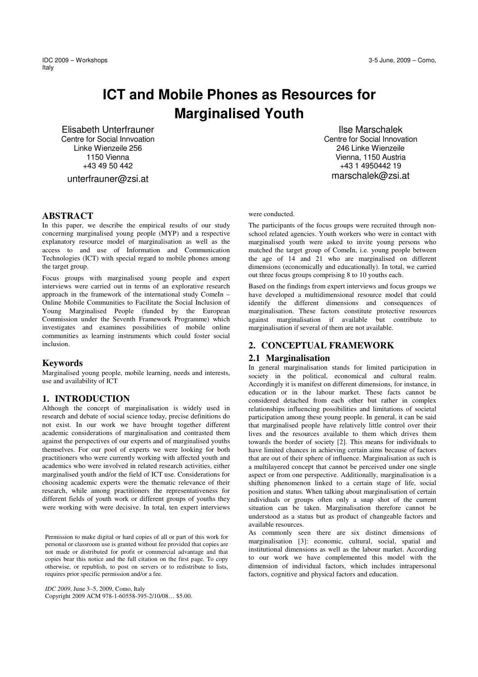IDC 2009 – Workshops 3-5 June, 2009 – Como, Italy

# **ICT and Mobile Phones as Resources for Marginalised Youth**

Elisabeth Unterfrauner Centre for Social Innvoation Linke Wienzeile 256 1150 Vienna +43 49 50 442

unterfrauner@zsi.at

### **ABSTRACT**

In this paper, we describe the empirical results of our study concerning marginalised young people (MYP) and a respective explanatory resource model of marginalisation as well as the access to and use of Information and Communication Technologies (ICT) with special regard to mobile phones among the target group.

Focus groups with marginalised young people and expert interviews were carried out in terms of an explorative research approach in the framework of the international study ComeIn  $-$ Online Mobile Communities to Facilitate the Social Inclusion of Young Marginalised People (funded by the European Commission under the Seventh Framework Programme) which investigates and examines possibilities of mobile online communities as learning instruments which could foster social inclusion.

### **Keywords**

Marginalised young people, mobile learning, needs and interests, use and availability of ICT

#### **1. INTRODUCTION**

Although the concept of marginalisation is widely used in research and debate of social science today, precise definitions do not exist. In our work we have brought together different academic considerations of marginalisation and contrasted them against the perspectives of our experts and of marginalised youths themselves. For our pool of experts we were looking for both practitioners who were currently working with affected youth and academics who were involved in related research activities, either marginalised youth and/or the field of ICT use. Considerations for choosing academic experts were the thematic relevance of their research, while among practitioners the representativeness for different fields of youth work or different groups of youths they were working with were decisive. In total, ten expert interviews

Permission to make digital or hard copies of all or part of this work for personal or classroom use is granted without fee provided that copies are not made or distributed for profit or commercial advantage and that copies bear this notice and the full citation on the first page. To copy otherwise, or republish, to post on servers or to redistribute to lists, requires prior specific permission and/or a fee.

*IDC 2009*, June 3–5, 2009, Como, Italy Copyright 2009 ACM 978-1-60558-395-2/10/08… \$5.00.

 Ilse Marschalek Centre for Social Innovation 246 Linke Wienzeile Vienna, 1150 Austria +43 1 4950442 19 marschalek@zsi.at

#### were conducted.

The participants of the focus groups were recruited through nonschool related agencies. Youth workers who were in contact with marginalised youth were asked to invite young persons who matched the target group of ComeIn, i.e. young people between the age of 14 and 21 who are marginalised on different dimensions (economically and educationally). In total, we carried out three focus groups comprising 8 to 10 youths each.

Based on the findings from expert interviews and focus groups we have developed a multidimensional resource model that could identify the different dimensions and consequences of marginalisation. These factors constitute protective resources against marginalisation if available but contribute to marginalisation if several of them are not available.

### **2. CONCEPTUAL FRAMEWORK**

#### **2.1 Marginalisation**

In general marginalisation stands for limited participation in society in the political, economical and cultural realm. Accordingly it is manifest on different dimensions, for instance, in education or in the labour market. These facts cannot be considered detached from each other but rather in complex relationships influencing possibilities and limitations of societal participation among these young people. In general, it can be said that marginalised people have relatively little control over their lives and the resources available to them which drives them towards the border of society [2]. This means for individuals to have limited chances in achieving certain aims because of factors that are out of their sphere of influence. Marginalisation as such is a multilayered concept that cannot be perceived under one single aspect or from one perspective. Additionally, marginalisation is a shifting phenomenon linked to a certain stage of life, social position and status. When talking about marginalisation of certain individuals or groups often only a snap shot of the current situation can be taken. Marginalisation therefore cannot be understood as a status but as product of changeable factors and available resources.

As commonly seen there are six distinct dimensions of marginalisation [3]: economic, cultural, social, spatial and institutional dimensions as well as the labour market. According to our work we have complemented this model with the dimension of individual factors, which includes intrapersonal factors, cognitive and physical factors and education.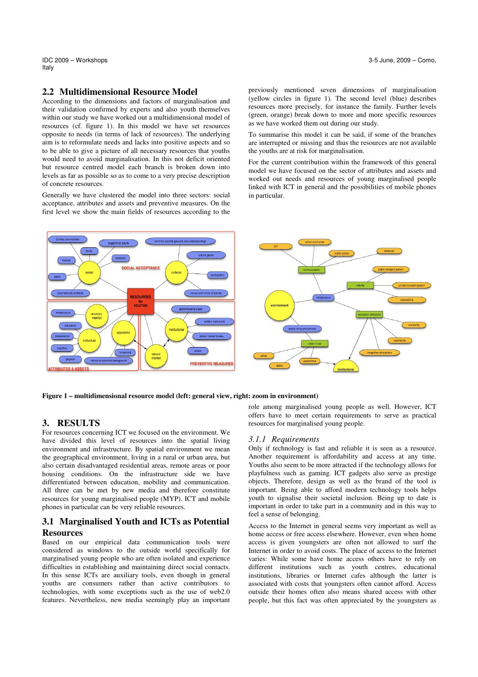Italy

### **2.2 Multidimensional Resource Model**

According to the dimensions and factors of marginalisation and their validation confirmed by experts and also youth themselves within our study we have worked out a multidimensional model of resources (cf. figure 1). In this model we have set resources opposite to needs (in terms of lack of resources). The underlying aim is to reformulate needs and lacks into positive aspects and so to be able to give a picture of all necessary resources that youths would need to avoid marginalisation. In this not deficit oriented but resource centred model each branch is broken down into levels as far as possible so as to come to a very precise description of concrete resources.

Generally we have clustered the model into three sectors: social acceptance, attributes and assets and preventive measures. On the first level we show the main fields of resources according to the previously mentioned seven dimensions of marginalisation (yellow circles in figure 1). The second level (blue) describes resources more precisely, for instance the family. Further levels (green, orange) break down to more and more specific resources as we have worked them out during our study.

To summarise this model it can be said, if some of the branches are interrupted or missing and thus the resources are not available the youths are at risk for marginalisation.

For the current contribution within the framework of this general model we have focused on the sector of attributes and assets and worked out needs and resources of young marginalised people linked with ICT in general and the possibilities of mobile phones in particular.



**Figure 1 – multidimensional resource model (left: general view, right: zoom in environment)** 

## **3. RESULTS**

For resources concerning ICT we focused on the environment. We have divided this level of resources into the spatial living environment and infrastructure. By spatial environment we mean the geographical environment, living in a rural or urban area, but also certain disadvantaged residential areas, remote areas or poor housing conditions. On the infrastructure side we have differentiated between education, mobility and communication. All three can be met by new media and therefore constitute resources for young marginalised people (MYP). ICT and mobile phones in particular can be very reliable resources.

# **3.1 Marginalised Youth and ICTs as Potential Resources**

Based on our empirical data communication tools were considered as windows to the outside world specifically for marginalised young people who are often isolated and experience difficulties in establishing and maintaining direct social contacts. In this sense ICTs are auxiliary tools, even though in general youths are consumers rather than active contributors to technologies, with some exceptions such as the use of web2.0 features. Nevertheless, new media seemingly play an important role among marginalised young people as well. However, ICT offers have to meet certain requirements to serve as practical resources for marginalised young people.

#### *3.1.1 Requirements*

Only if technology is fast and reliable it is seen as a resource. Another requirement is affordability and access at any time. Youths also seem to be more attracted if the technology allows for playfulness such as gaming. ICT gadgets also serve as prestige objects. Therefore, design as well as the brand of the tool is important. Being able to afford modern technology tools helps youth to signalise their societal inclusion. Being up to date is important in order to take part in a community and in this way to feel a sense of belonging.

Access to the Internet in general seems very important as well as home access or free access elsewhere. However, even when home access is given youngsters are often not allowed to surf the Internet in order to avoid costs. The place of access to the Internet varies: While some have home access others have to rely on different institutions such as youth centres, educational institutions, libraries or Internet cafes although the latter is associated with costs that youngsters often cannot afford. Access outside their homes often also means shared access with other people, but this fact was often appreciated by the youngsters as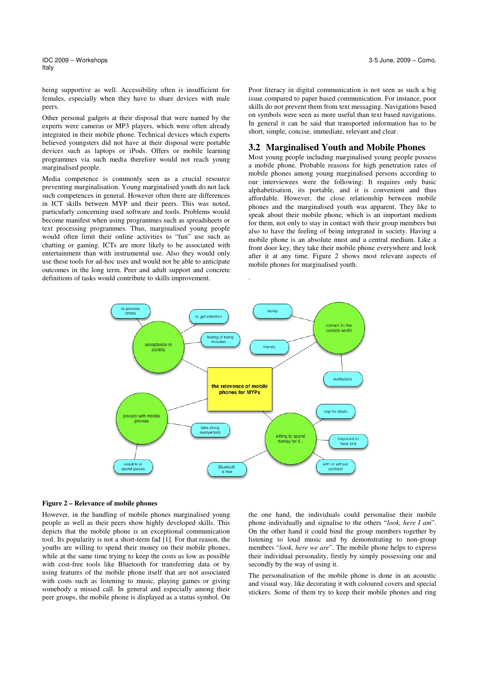IDC 2009 – Workshops 3-5 June, 2009 – Como, Italy

being supportive as well. Accessibility often is insufficient for females, especially when they have to share devices with male peers.

Other personal gadgets at their disposal that were named by the experts were cameras or MP3 players, which were often already integrated in their mobile phone. Technical devices which experts believed youngsters did not have at their disposal were portable devices such as laptops or iPods. Offers or mobile learning programmes via such media therefore would not reach young marginalised people.

Media competence is commonly seen as a crucial resource preventing marginalisation. Young marginalised youth do not lack such competences in general. However often there are differences in ICT skills between MYP and their peers. This was noted, particularly concerning used software and tools. Problems would become manifest when using programmes such as spreadsheets or text processing programmes. Thus, marginalised young people would often limit their online activities to "fun" use such as chatting or gaming. ICTs are more likely to be associated with entertainment than with instrumental use. Also they would only use these tools for ad-hoc uses and would not be able to anticipate outcomes in the long term. Peer and adult support and concrete definitions of tasks would contribute to skills improvement.

Poor literacy in digital communication is not seen as such a big issue compared to paper based communication. For instance, poor skills do not prevent them from text messaging. Navigations based on symbols were seen as more useful than text based navigations. In general it can be said that transported information has to be short, simple, concise, immediate, relevant and clear.

### **3.2 Marginalised Youth and Mobile Phones**

Most young people including marginalised young people possess a mobile phone. Probable reasons for high penetration rates of mobile phones among young marginalised persons according to our interviewees were the following: It requires only basic alphabetisation, its portable, and it is convenient and thus affordable. However, the close relationship between mobile phones and the marginalised youth was apparent. They like to speak about their mobile phone, which is an important medium for them, not only to stay in contact with their group members but also to have the feeling of being integrated in society. Having a mobile phone is an absolute must and a central medium. Like a front door key, they take their mobile phone everywhere and look after it at any time. Figure 2 shows most relevant aspects of mobile phones for marginalised youth.



.

#### **Figure 2 – Relevance of mobile phones**

However, in the handling of mobile phones marginalised young people as well as their peers show highly developed skills. This depicts that the mobile phone is an exceptional communication tool. Its popularity is not a short-term fad [1]. For that reason, the youths are willing to spend their money on their mobile phones, while at the same time trying to keep the costs as low as possible with cost-free tools like Bluetooth for transferring data or by using features of the mobile phone itself that are not associated with costs such as listening to music, playing games or giving somebody a missed call. In general and especially among their peer groups, the mobile phone is displayed as a status symbol. On the one hand, the individuals could personalise their mobile phone individually and signalise to the others "*look, here I am*". On the other hand it could bind the group members together by listening to loud music and by demonstrating to non-group members "*look, here we are*". The mobile phone helps to express their individual personality, firstly by simply possessing one and secondly by the way of using it.

The personalisation of the mobile phone is done in an acoustic and visual way, like decorating it with coloured covers and special stickers. Some of them try to keep their mobile phones and ring